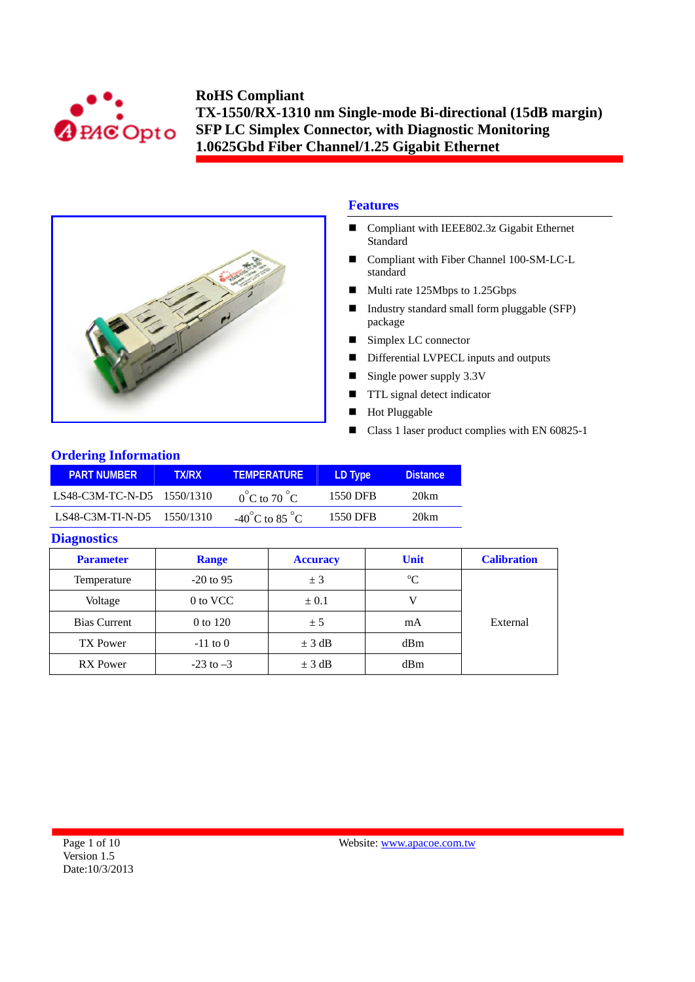



# **Features**

- Compliant with IEEE802.3z Gigabit Ethernet Standard
- Compliant with Fiber Channel 100-SM-LC-L standard
- Multi rate 125Mbps to 1.25Gbps
- Industry standard small form pluggable (SFP) package
- Simplex LC connector
- Differential LVPECL inputs and outputs
- Single power supply  $3.3V$
- **TTL** signal detect indicator
- **Hot Pluggable**
- Class 1 laser product complies with EN 60825-1

## **Ordering Information**

| <b>PART NUMBER</b>         | <b>TX/RX</b> | <b>TEMPERATURE</b>                 | LD Type  | <b>Distance</b> |
|----------------------------|--------------|------------------------------------|----------|-----------------|
| LS48-C3M-TC-N-D5 1550/1310 |              | $0^{\circ}$ C to 70 $^{\circ}$ C   | 1550 DFB | 20km            |
| LS48-C3M-TI-N-D5 1550/1310 |              | $-40^{\circ}$ C to 85 $^{\circ}$ C | 1550 DFB | 20km            |

### **Diagnostics**

| <b>Parameter</b>    | <b>Range</b>  | <b>Accuracy</b> | <b>Unit</b> | <b>Calibration</b> |
|---------------------|---------------|-----------------|-------------|--------------------|
| Temperature         | $-20$ to 95   | ± 3             | $\rm ^{o}C$ |                    |
| Voltage             | 0 to VCC      | $\pm 0.1$       |             |                    |
| <b>Bias Current</b> | 0 to 120      | ± 5             | mA          | External           |
| <b>TX Power</b>     | $-11$ to 0    | $\pm$ 3 dB      | dBm         |                    |
| <b>RX</b> Power     | $-23$ to $-3$ | $\pm$ 3 dB      | dBm         |                    |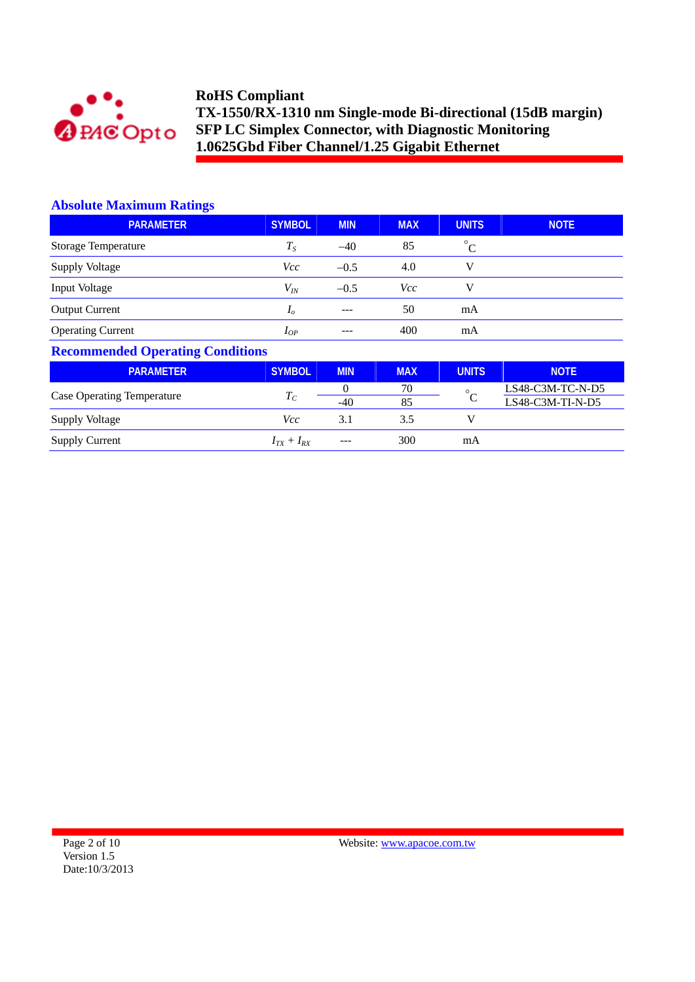

### **Absolute Maximum Ratings**

| <b>PARAMETER</b>         | <b>SYMBOL</b>  | <b>MIN</b> | <b>MAX</b> | <b>UNITS</b> | <b>NOTE</b> |
|--------------------------|----------------|------------|------------|--------------|-------------|
| Storage Temperature      | $T_{S}$        | $-40$      | 85         | $^{\circ}C$  |             |
| <b>Supply Voltage</b>    | <i>Vcc</i>     | $-0.5$     | 4.0        | v            |             |
| Input Voltage            | $V_{I\!N}$     | $-0.5$     | Vcc        | V            |             |
| <b>Output Current</b>    | I <sub>o</sub> | $---$      | 50         | mA           |             |
| <b>Operating Current</b> | $I_{OP}$       | ---        | 400        | mA           |             |

# **Recommended Operating Conditions**

| <b>PARAMETER</b>                  | <b>SYMBOL</b>     | <b>MIN</b> | <b>MAX</b> | <b>UNITS</b> | <b>NOTE</b>        |
|-----------------------------------|-------------------|------------|------------|--------------|--------------------|
|                                   |                   |            | 70         | $\circ$      | LS48-C3M-TC-N-D5   |
| <b>Case Operating Temperature</b> | $T_{\mathcal{C}}$ | $-40$      | 85         |              | $LS48-C3M-TI-N-D5$ |
| <b>Supply Voltage</b>             | Vcc               | 3.1        | 3.5        |              |                    |
| <b>Supply Current</b>             | $I_{TX} + I_{RX}$ | $---$      | 300        | mA           |                    |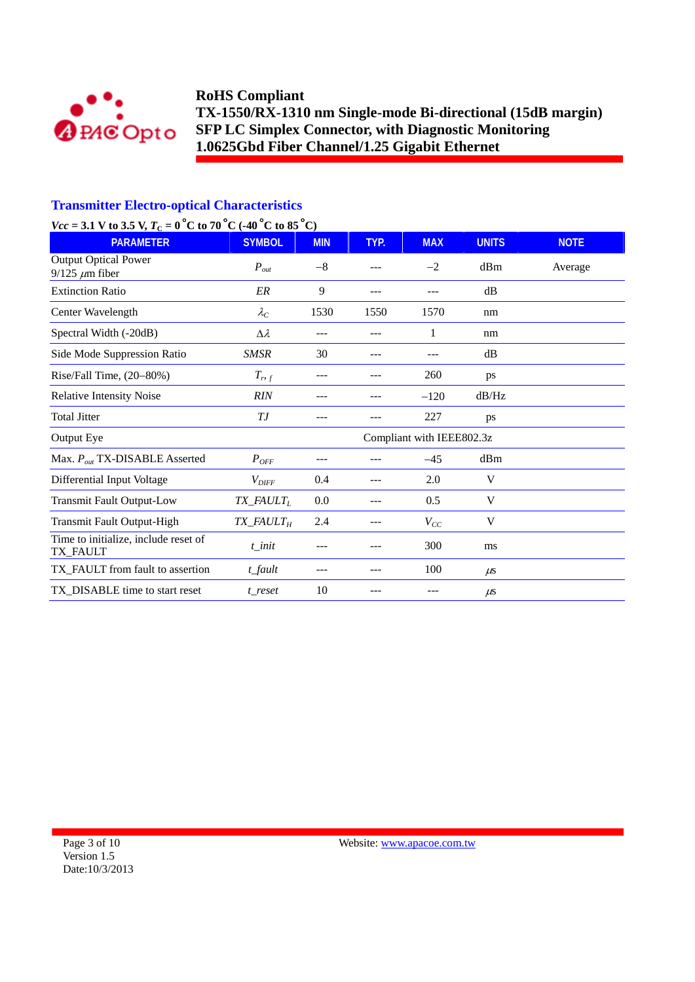

## **Transmitter Electro-optical Characteristics**

# *Vcc* = 3.1 V to 3.5 V,  $T_c = 0^\circ \text{C}$  to 70  $^{\circ} \text{C}$  (-40  $^{\circ} \text{C}$  to 85  $^{\circ} \text{C}$ )

| $\frac{1}{2}$ $\frac{1}{2}$ $\frac{1}{2}$ $\frac{1}{2}$ $\frac{1}{2}$ $\frac{1}{2}$ $\frac{1}{2}$ $\frac{1}{2}$ $\frac{1}{2}$ $\frac{1}{2}$ $\frac{1}{2}$ $\frac{1}{2}$ $\frac{1}{2}$ $\frac{1}{2}$ $\frac{1}{2}$ $\frac{1}{2}$ $\frac{1}{2}$ $\frac{1}{2}$ $\frac{1}{2}$ $\frac{1}{2}$ $\frac{1}{2}$ $\frac{1}{2}$<br><b>PARAMETER</b> | <b>SYMBOL</b>                         | <b>MIN</b> | TYP. | <b>MAX</b>                | <b>UNITS</b> | <b>NOTE</b> |
|-----------------------------------------------------------------------------------------------------------------------------------------------------------------------------------------------------------------------------------------------------------------------------------------------------------------------------------------|---------------------------------------|------------|------|---------------------------|--------------|-------------|
| <b>Output Optical Power</b><br>$9/125 \ \mu m$ fiber                                                                                                                                                                                                                                                                                    | $P_{out}$                             | $-8$       | ---  | $-2$                      | dBm          | Average     |
| <b>Extinction Ratio</b>                                                                                                                                                                                                                                                                                                                 | ER                                    | 9          | ---  |                           | dB           |             |
| Center Wavelength                                                                                                                                                                                                                                                                                                                       | $\lambda_C$                           | 1530       | 1550 | 1570                      | nm           |             |
| Spectral Width (-20dB)                                                                                                                                                                                                                                                                                                                  | $\Delta \lambda$                      | ---        | ---  | 1                         | nm           |             |
| Side Mode Suppression Ratio                                                                                                                                                                                                                                                                                                             | <b>SMSR</b>                           | 30         | ---  |                           | dB           |             |
| Rise/Fall Time, (20-80%)                                                                                                                                                                                                                                                                                                                | $T_{r,f}$                             | ---        | ---  | 260                       | ps           |             |
| <b>Relative Intensity Noise</b>                                                                                                                                                                                                                                                                                                         | <b>RIN</b>                            |            |      | $-120$                    | dB/Hz        |             |
| <b>Total Jitter</b>                                                                                                                                                                                                                                                                                                                     | ТJ                                    |            |      | 227                       | ps           |             |
| Output Eye                                                                                                                                                                                                                                                                                                                              |                                       |            |      | Compliant with IEEE802.3z |              |             |
| Max. $P_{out}$ TX-DISABLE Asserted                                                                                                                                                                                                                                                                                                      | $P_{OFF}$                             | ---        | ---  | $-45$                     | dBm          |             |
| Differential Input Voltage                                                                                                                                                                                                                                                                                                              | $V_{\text{DIFF}}$                     | 0.4        | ---  | 2.0                       | V            |             |
| <b>Transmit Fault Output-Low</b>                                                                                                                                                                                                                                                                                                        | $TX$ <sub>_FAULT<sub>L</sub></sub>    | 0.0        | ---  | 0.5                       | V            |             |
| <b>Transmit Fault Output-High</b>                                                                                                                                                                                                                                                                                                       | $TX$ <sub>_FAULT<math>_H</math></sub> | 2.4        | ---  | $V_{CC}$                  | V            |             |
| Time to initialize, include reset of<br>TX_FAULT                                                                                                                                                                                                                                                                                        | $t$ _init                             | ---        | ---  | 300                       | ms           |             |
| TX_FAULT from fault to assertion                                                                                                                                                                                                                                                                                                        | t_fault                               | ---        | ---  | 100                       | $\mu$ s      |             |
| TX_DISABLE time to start reset                                                                                                                                                                                                                                                                                                          | t reset                               | 10         | ---  |                           | $\mu$ s      |             |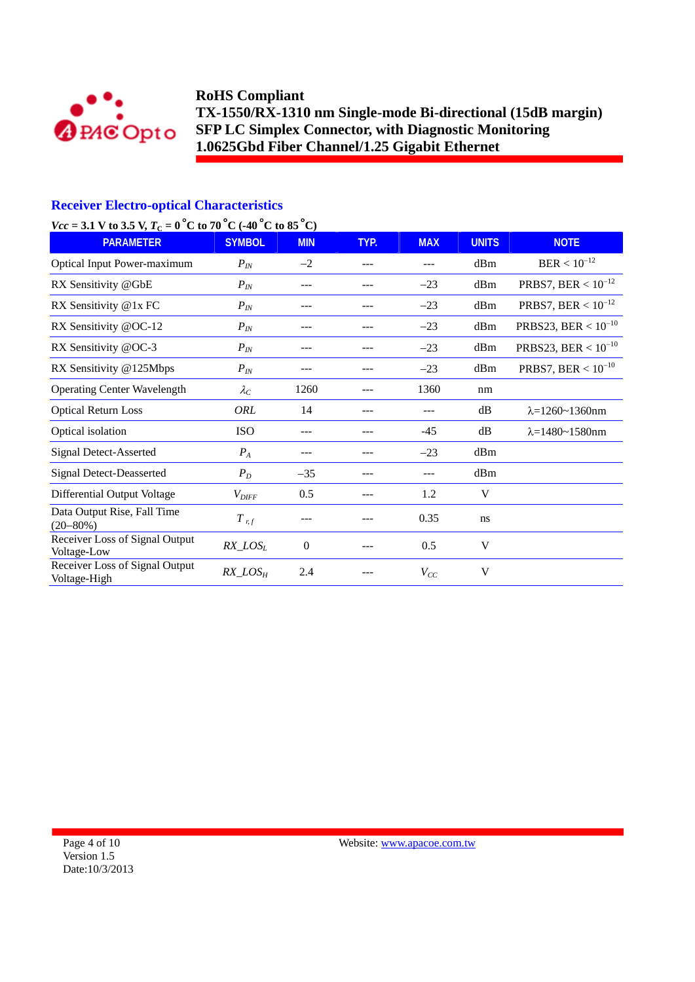

### **Receiver Electro-optical Characteristics**

## *Vcc* = 3.1 V to 3.5 V,  $T_c = 0$  °C to 70 °C (-40 °C to 85 °C)

| $\frac{1}{2}$ . To see<br><b>PARAMETER</b>     | <b>SYMBOL</b>     | <b>MIN</b>       | TYP. | <b>MAX</b> | <b>UNITS</b> | <b>NOTE</b>                |
|------------------------------------------------|-------------------|------------------|------|------------|--------------|----------------------------|
| <b>Optical Input Power-maximum</b>             | $P_{IN}$          | $-2$             | ---  | ---        | dBm          | $BER < 10^{-12}$           |
| RX Sensitivity @GbE                            | $P_{IN}$          | $---$            |      | $-23$      | dBm          | PRBS7, BER < $10^{-12}$    |
| RX Sensitivity @1x FC                          | $P_{IN}$          | ---              | ---  | $-23$      | dBm          | PRBS7, BER < $10^{-12}$    |
| RX Sensitivity @OC-12                          | $P_{IN}$          | ---              | ---  | $-23$      | dBm          | PRBS23, BER < $10^{-10}$   |
| RX Sensitivity @OC-3                           | $P_{IN}$          |                  |      | $-23$      | dBm          | PRBS23, BER < $10^{-10}$   |
| RX Sensitivity @125Mbps                        | $P_{IN}$          |                  | ---  | $-23$      | dBm          | PRBS7, BER < $10^{-10}$    |
| <b>Operating Center Wavelength</b>             | $\lambda_C$       | 1260             |      | 1360       | nm           |                            |
| <b>Optical Return Loss</b>                     | ORL               | 14               |      | ---        | dB           | $\lambda = 1260 - 1360$ nm |
| Optical isolation                              | <b>ISO</b>        | ---              | ---  | $-45$      | dB           | $\lambda = 1480 - 1580$ nm |
| <b>Signal Detect-Asserted</b>                  | $P_{A}$           | ---              |      | $-23$      | dBm          |                            |
| <b>Signal Detect-Deasserted</b>                | $P_D$             | $-35$            |      | ---        | dBm          |                            |
| Differential Output Voltage                    | $V_{\text{DIFF}}$ | 0.5              |      | 1.2        | V            |                            |
| Data Output Rise, Fall Time<br>$(20 - 80\%)$   | $T$ <sub>rf</sub> |                  |      | 0.35       | ns           |                            |
| Receiver Loss of Signal Output<br>Voltage-Low  | $RX\_LOS_L$       | $\boldsymbol{0}$ |      | 0.5        | V            |                            |
| Receiver Loss of Signal Output<br>Voltage-High | $RX\_LOS_H$       | 2.4              |      | $V_{CC}$   | V            |                            |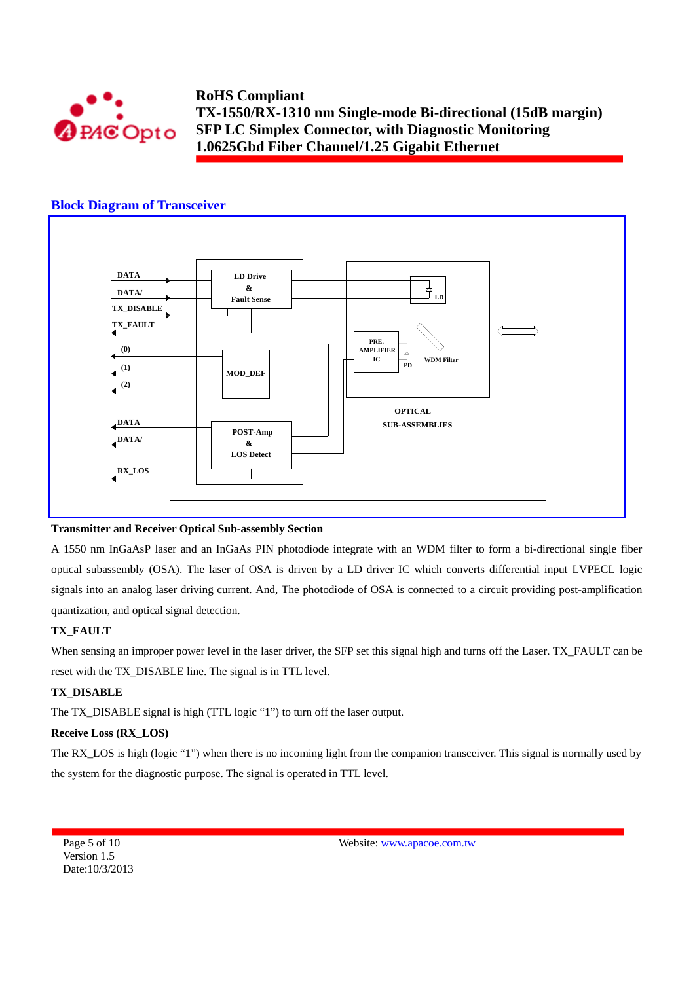

### **Block Diagram of Transceiver**



#### **Transmitter and Receiver Optical Sub-assembly Section**

A 1550 nm InGaAsP laser and an InGaAs PIN photodiode integrate with an WDM filter to form a bi-directional single fiber optical subassembly (OSA). The laser of OSA is driven by a LD driver IC which converts differential input LVPECL logic signals into an analog laser driving current. And, The photodiode of OSA is connected to a circuit providing post-amplification quantization, and optical signal detection.

#### **TX\_FAULT**

When sensing an improper power level in the laser driver, the SFP set this signal high and turns off the Laser. TX\_FAULT can be reset with the TX\_DISABLE line. The signal is in TTL level.

#### **TX\_DISABLE**

The TX\_DISABLE signal is high (TTL logic "1") to turn off the laser output.

### **Receive Loss (RX\_LOS)**

The RX\_LOS is high (logic "1") when there is no incoming light from the companion transceiver. This signal is normally used by the system for the diagnostic purpose. The signal is operated in TTL level.

Page 5 of 10 Version 1.5 Date:10/3/2013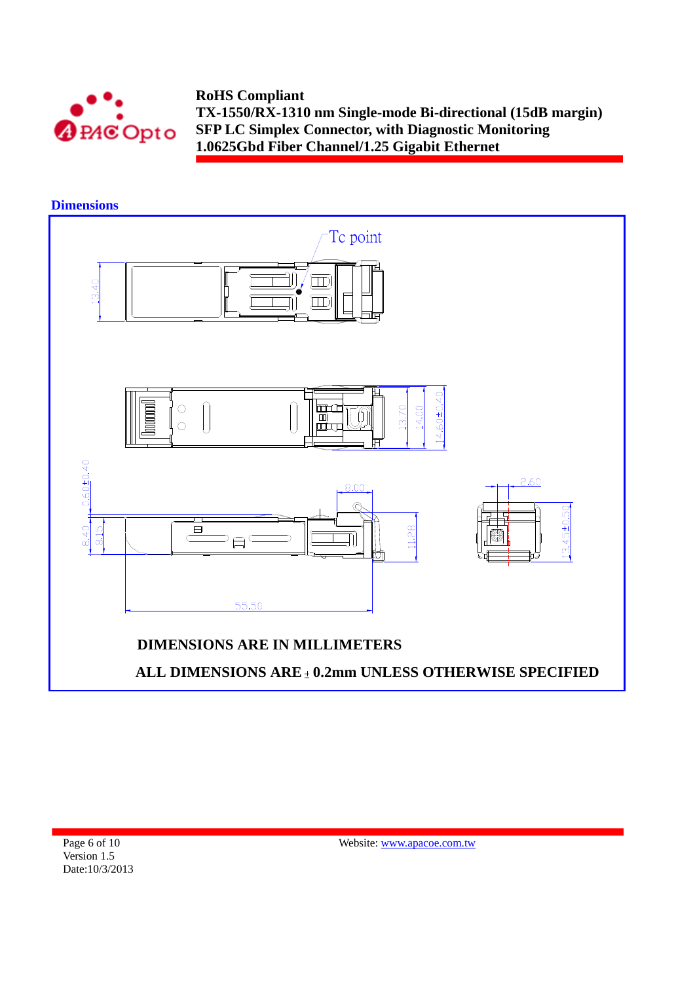

### **Dimensions**

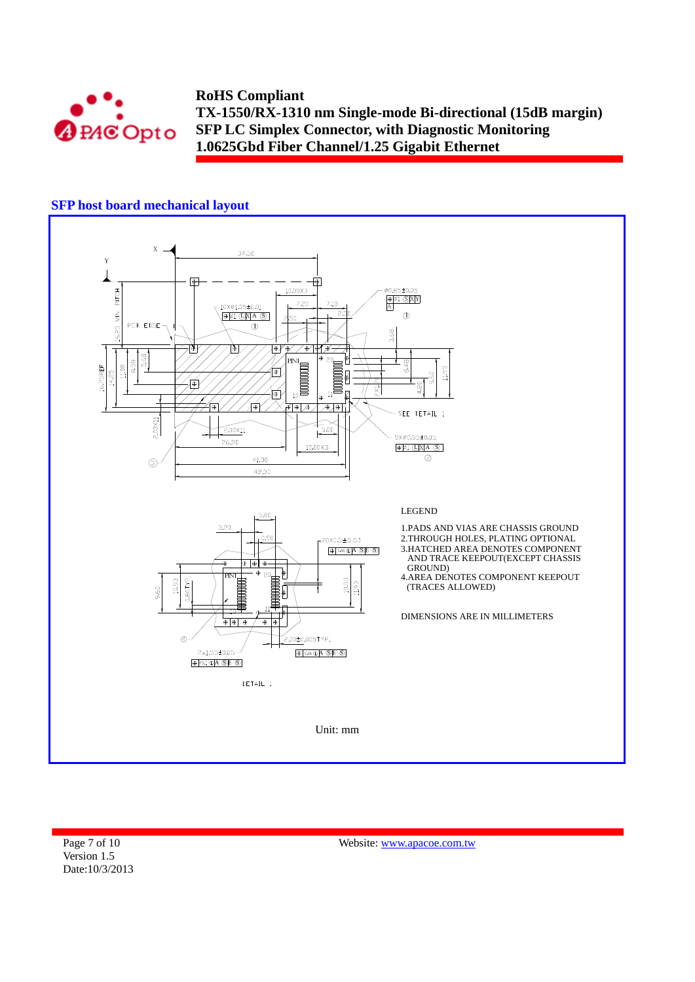

## **SFP host board mechanical layout**



Page 7 of 10 Version 1.5 Date:10/3/2013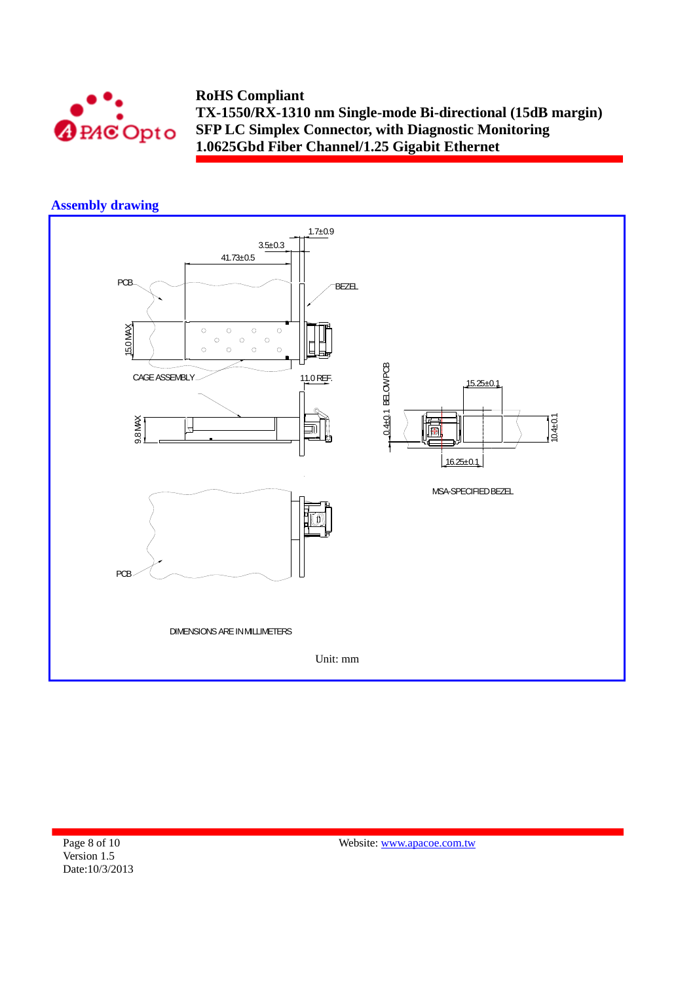

## **Assembly drawing**



Page 8 of 10 Version 1.5 Date:10/3/2013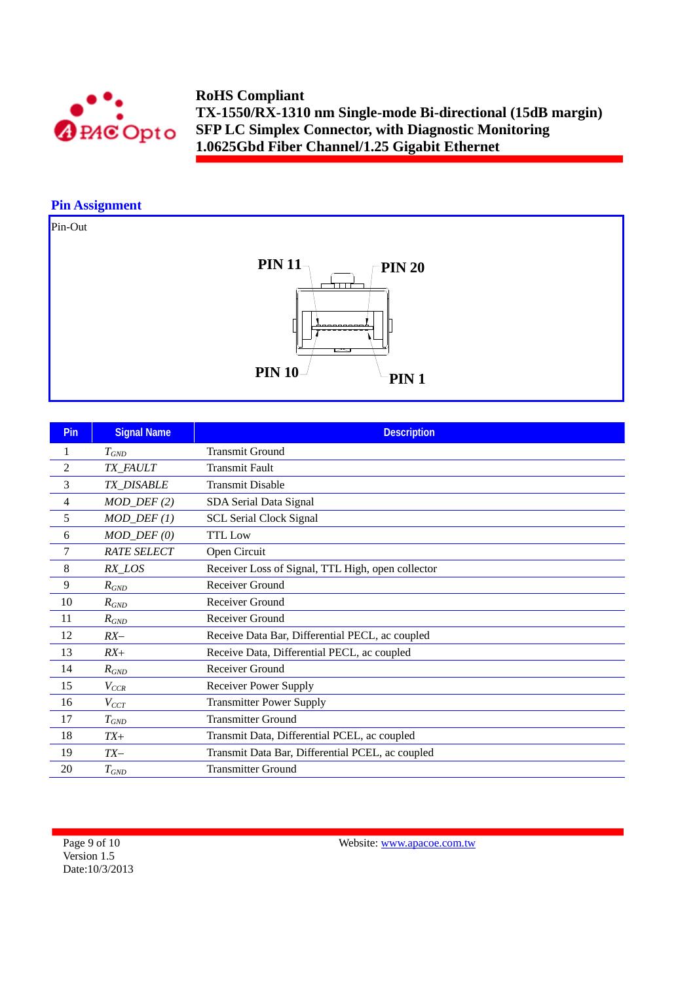

### **Pin Assignment**

# Pin-Out



| Pin            | <b>Signal Name</b>          | <b>Description</b>                                |
|----------------|-----------------------------|---------------------------------------------------|
|                | $T_{GND}$                   | <b>Transmit Ground</b>                            |
| $\overline{2}$ | TX_FAULT                    | <b>Transmit Fault</b>                             |
| 3              | <b>TX DISABLE</b>           | <b>Transmit Disable</b>                           |
| 4              | $MOD_$ <del>DEF</del> $(2)$ | SDA Serial Data Signal                            |
| 5              | $MOD_$ <del>DEF</del> $(1)$ | <b>SCL Serial Clock Signal</b>                    |
| 6              | $MOD_$ $DEF (0)$            | <b>TTL Low</b>                                    |
| 7              | <b>RATE SELECT</b>          | Open Circuit                                      |
| 8              | $RX$ <sub>LOS</sub>         | Receiver Loss of Signal, TTL High, open collector |
| 9              | $R_{GND}$                   | Receiver Ground                                   |
| 10             | $R_{GND}$                   | Receiver Ground                                   |
| 11             | $R_{GND}$                   | Receiver Ground                                   |
| 12             | $RX-$                       | Receive Data Bar, Differential PECL, ac coupled   |
| 13             | $RX+$                       | Receive Data, Differential PECL, ac coupled       |
| 14             | $R_{GND}$                   | Receiver Ground                                   |
| 15             | $V_{CCR}$                   | <b>Receiver Power Supply</b>                      |
| 16             | $V_{CCT}$                   | <b>Transmitter Power Supply</b>                   |
| 17             | $T_{GND}$                   | <b>Transmitter Ground</b>                         |
| 18             | $TX+$                       | Transmit Data, Differential PCEL, ac coupled      |
| 19             | $TX-$                       | Transmit Data Bar, Differential PCEL, ac coupled  |
| 20             | $T_{GND}$                   | <b>Transmitter Ground</b>                         |

Page 9 of 10 Version 1.5 Date:10/3/2013